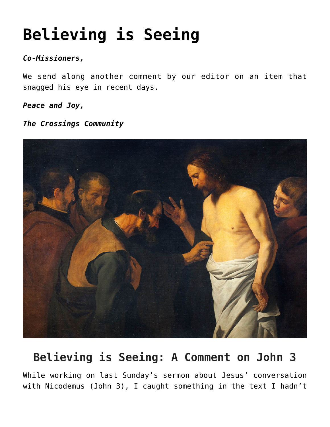## **[Believing is Seeing](https://crossings.org/thursday-theology-march-12-2020/)**

## *Co-Missioners,*

We send along another comment by our editor on an item that snagged his eye in recent days.

*Peace and Joy,*

*The Crossings Community*



## **Believing is Seeing: A Comment on John 3**

While working on last Sunday's sermon about Jesus' conversation with Nicodemus (John 3), I caught something in the text I hadn't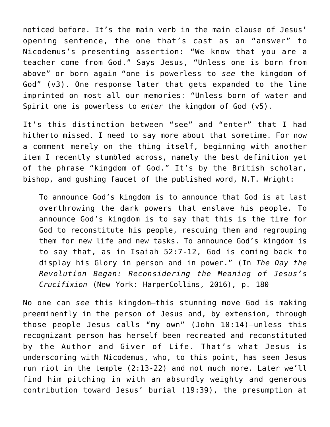noticed before. It's the main verb in the main clause of Jesus' opening sentence, the one that's cast as an "answer" to Nicodemus's presenting assertion: "We know that you are a teacher come from God." Says Jesus, "Unless one is born from above"—or born again—"one is powerless to *see* the kingdom of God" (v3). One response later that gets expanded to the line imprinted on most all our memories: "Unless born of water and Spirit one is powerless to *enter* the kingdom of God (v5).

It's this distinction between "see" and "enter" that I had hitherto missed. I need to say more about that sometime. For now a comment merely on the thing itself, beginning with another item I recently stumbled across, namely the best definition yet of the phrase "kingdom of God." It's by the British scholar, bishop, and gushing faucet of the published word, N.T. Wright:

To announce God's kingdom is to announce that God is at last overthrowing the dark powers that enslave his people. To announce God's kingdom is to say that this is the time for God to reconstitute his people, rescuing them and regrouping them for new life and new tasks. To announce God's kingdom is to say that, as in Isaiah 52:7-12, God is coming back to display his Glory in person and in power." (In *The Day the Revolution Began: Reconsidering the Meaning of Jesus's Crucifixion* (New York: HarperCollins, 2016), p. 180

No one can *see* this kingdom—this stunning move God is making preeminently in the person of Jesus and, by extension, through those people Jesus calls "my own" (John 10:14)—unless this recognizant person has herself been recreated and reconstituted by the Author and Giver of Life. That's what Jesus is underscoring with Nicodemus, who, to this point, has seen Jesus run riot in the temple (2:13-22) and not much more. Later we'll find him pitching in with an absurdly weighty and generous contribution toward Jesus' burial (19:39), the presumption at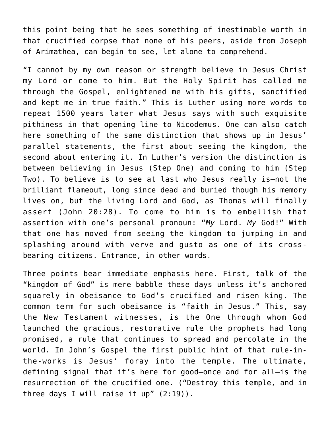this point being that he sees something of inestimable worth in that crucified corpse that none of his peers, aside from Joseph of Arimathea, can begin to see, let alone to comprehend.

"I cannot by my own reason or strength believe in Jesus Christ my Lord or come to him. But the Holy Spirit has called me through the Gospel, enlightened me with his gifts, sanctified and kept me in true faith." This is Luther using more words to repeat 1500 years later what Jesus says with such exquisite pithiness in that opening line to Nicodemus. One can also catch here something of the same distinction that shows up in Jesus' parallel statements, the first about seeing the kingdom, the second about entering it. In Luther's version the distinction is between believing in Jesus (Step One) and coming to him (Step Two). To believe is to see at last who Jesus really is—not the brilliant flameout, long since dead and buried though his memory lives on, but the living Lord and God, as Thomas will finally assert (John 20:28). To come to him is to embellish that assertion with one's personal pronoun: "*My* Lord. *My* God!" With that one has moved from seeing the kingdom to jumping in and splashing around with verve and gusto as one of its crossbearing citizens. Entrance, in other words.

Three points bear immediate emphasis here. First, talk of the "kingdom of God" is mere babble these days unless it's anchored squarely in obeisance to God's crucified and risen king. The common term for such obeisance is "faith in Jesus." This, say the New Testament witnesses, is the One through whom God launched the gracious, restorative rule the prophets had long promised, a rule that continues to spread and percolate in the world. In John's Gospel the first public hint of that rule-inthe-works is Jesus' foray into the temple. The ultimate, defining signal that it's here for good—once and for all—is the resurrection of the crucified one. ("Destroy this temple, and in three days I will raise it up"  $(2:19)$ ).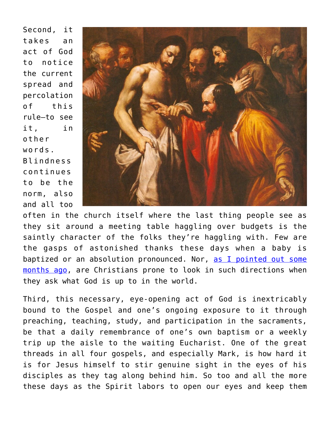Second, it takes an act of God to notice the current spread and percolation of this rule—to see it, in other words. Blindness continues to be the norm, also and all too



often in the church itself where the last thing people see as they sit around a meeting table haggling over budgets is the saintly character of the folks they're haggling with. Few are the gasps of astonished thanks these days when a baby is baptized or an absolution pronounced. Nor, [as I pointed out some](https://crossings.org/thursday-theology-8-15-19-2/) [months ago,](https://crossings.org/thursday-theology-8-15-19-2/) are Christians prone to look in such directions when they ask what God is up to in the world.

Third, this necessary, eye-opening act of God is inextricably bound to the Gospel and one's ongoing exposure to it through preaching, teaching, study, and participation in the sacraments, be that a daily remembrance of one's own baptism or a weekly trip up the aisle to the waiting Eucharist. One of the great threads in all four gospels, and especially Mark, is how hard it is for Jesus himself to stir genuine sight in the eyes of his disciples as they tag along behind him. So too and all the more these days as the Spirit labors to open our eyes and keep them